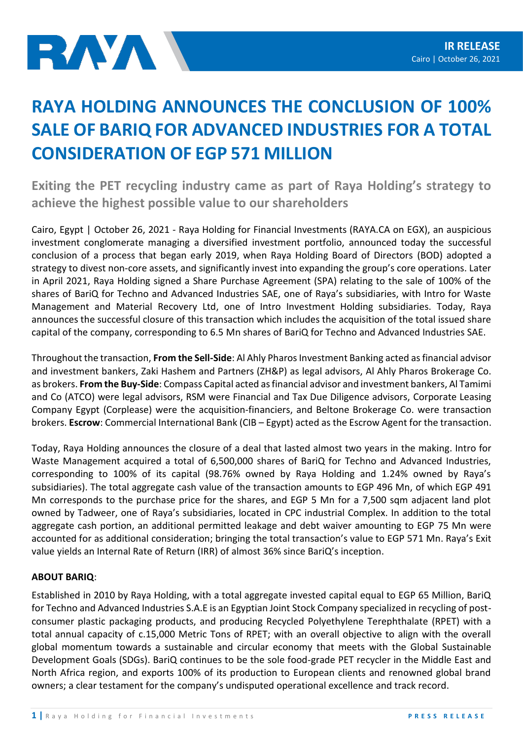## **RAYA HOLDING ANNOUNCES THE CONCLUSION OF 100% SALE OF BARIQ FOR ADVANCED INDUSTRIES FOR A TOTAL CONSIDERATION OF EGP 571 MILLION**

**Exiting the PET recycling industry came as part of Raya Holding's strategy to achieve the highest possible value to our shareholders**

Cairo, Egypt | October 26, 2021 - Raya Holding for Financial Investments (RAYA.CA on EGX), an auspicious investment conglomerate managing a diversified investment portfolio, announced today the successful conclusion of a process that began early 2019, when Raya Holding Board of Directors (BOD) adopted a strategy to divest non-core assets, and significantly invest into expanding the group's core operations. Later in April 2021, Raya Holding signed a Share Purchase Agreement (SPA) relating to the sale of 100% of the shares of BariQ for Techno and Advanced Industries SAE, one of Raya's subsidiaries, with Intro for Waste Management and Material Recovery Ltd, one of Intro Investment Holding subsidiaries. Today, Raya announces the successful closure of this transaction which includes the acquisition of the total issued share capital of the company, corresponding to 6.5 Mn shares of BariQ for Techno and Advanced Industries SAE.

Throughout the transaction, **From the Sell-Side**: Al Ahly Pharos Investment Banking acted as financial advisor and investment bankers, Zaki Hashem and Partners (ZH&P) as legal advisors, Al Ahly Pharos Brokerage Co. as brokers. **From the Buy-Side**: Compass Capital acted as financial advisor and investment bankers, Al Tamimi and Co (ATCO) were legal advisors, RSM were Financial and Tax Due Diligence advisors, Corporate Leasing Company Egypt (Corplease) were the acquisition-financiers, and Beltone Brokerage Co. were transaction brokers. **Escrow**: Commercial International Bank (CIB – Egypt) acted as the Escrow Agent for the transaction.

Today, Raya Holding announces the closure of a deal that lasted almost two years in the making. Intro for Waste Management acquired a total of 6,500,000 shares of BariQ for Techno and Advanced Industries, corresponding to 100% of its capital (98.76% owned by Raya Holding and 1.24% owned by Raya's subsidiaries). The total aggregate cash value of the transaction amounts to EGP 496 Mn, of which EGP 491 Mn corresponds to the purchase price for the shares, and EGP 5 Mn for a 7,500 sqm adjacent land plot owned by Tadweer, one of Raya's subsidiaries, located in CPC industrial Complex. In addition to the total aggregate cash portion, an additional permitted leakage and debt waiver amounting to EGP 75 Mn were accounted for as additional consideration; bringing the total transaction's value to EGP 571 Mn. Raya's Exit value yields an Internal Rate of Return (IRR) of almost 36% since BariQ's inception.

## **ABOUT BARIQ**:

Established in 2010 by Raya Holding, with a total aggregate invested capital equal to EGP 65 Million, BariQ for Techno and Advanced Industries S.A.E is an Egyptian Joint Stock Company specialized in recycling of postconsumer plastic packaging products, and producing Recycled Polyethylene Terephthalate (RPET) with a total annual capacity of c.15,000 Metric Tons of RPET; with an overall objective to align with the overall global momentum towards a sustainable and circular economy that meets with the Global Sustainable Development Goals (SDGs). BariQ continues to be the sole food-grade PET recycler in the Middle East and North Africa region, and exports 100% of its production to European clients and renowned global brand owners; a clear testament for the company's undisputed operational excellence and track record.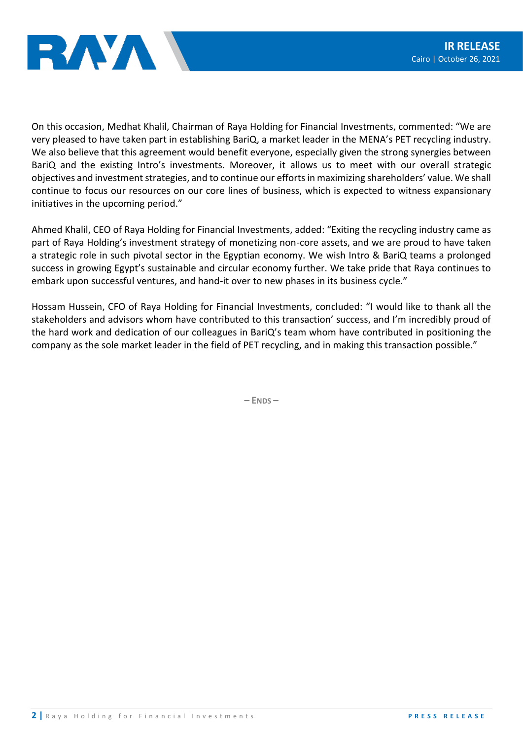



On this occasion, Medhat Khalil, Chairman of Raya Holding for Financial Investments, commented: "We are very pleased to have taken part in establishing BariQ, a market leader in the MENA's PET recycling industry. We also believe that this agreement would benefit everyone, especially given the strong synergies between BariQ and the existing Intro's investments. Moreover, it allows us to meet with our overall strategic objectives and investment strategies, and to continue our efforts in maximizing shareholders' value. We shall continue to focus our resources on our core lines of business, which is expected to witness expansionary initiatives in the upcoming period."

Ahmed Khalil, CEO of Raya Holding for Financial Investments, added: "Exiting the recycling industry came as part of Raya Holding's investment strategy of monetizing non-core assets, and we are proud to have taken a strategic role in such pivotal sector in the Egyptian economy. We wish Intro & BariQ teams a prolonged success in growing Egypt's sustainable and circular economy further. We take pride that Raya continues to embark upon successful ventures, and hand-it over to new phases in its business cycle."

Hossam Hussein, CFO of Raya Holding for Financial Investments, concluded: "I would like to thank all the stakeholders and advisors whom have contributed to this transaction' success, and I'm incredibly proud of the hard work and dedication of our colleagues in BariQ's team whom have contributed in positioning the company as the sole market leader in the field of PET recycling, and in making this transaction possible."

**– ENDS –**